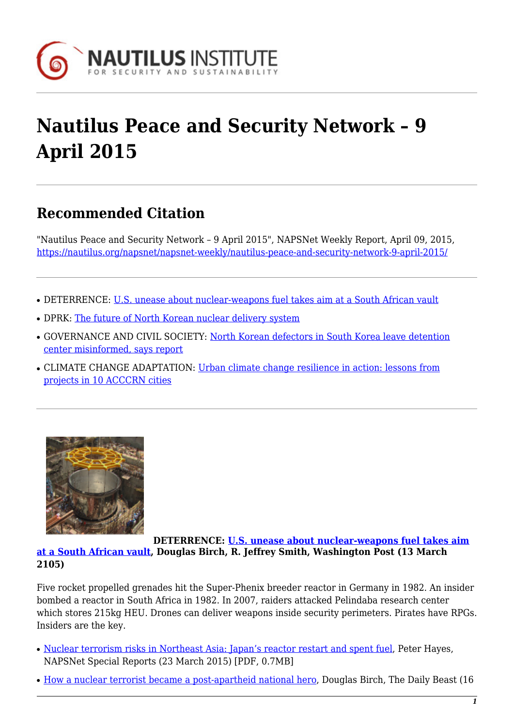

## **Nautilus Peace and Security Network – 9 April 2015**

## **Recommended Citation**

"Nautilus Peace and Security Network – 9 April 2015", NAPSNet Weekly Report, April 09, 2015, <https://nautilus.org/napsnet/napsnet-weekly/nautilus-peace-and-security-network-9-april-2015/>

- DETERRENCE: [U.S. unease about nuclear-weapons fuel takes aim at a South African vault](#page--1-0)
- DPRK: [The future of North Korean nuclear delivery system](#page--1-0)
- GOVERNANCE AND CIVIL SOCIETY: [North Korean defectors in South Korea leave detention](#page--1-0) [center misinformed, says report](#page--1-0)
- CLIMATE CHANGE ADAPTATION: [Urban climate change resilience in action: lessons from](#page--1-0) [projects in 10 ACCCRN cities](#page--1-0)



**DETERRENCE: [U.S. unease about nuclear-weapons fuel takes aim](http://www.washingtonpost.com/world/africa/us-unease-about-nuclear-weapons-fuel-takes-aim-at-a-south-african-vault/2015/03/13/b17389f6-2bc1-4515-962d-03c655d0e62d_story.html) [at a South African vault,](http://www.washingtonpost.com/world/africa/us-unease-about-nuclear-weapons-fuel-takes-aim-at-a-south-african-vault/2015/03/13/b17389f6-2bc1-4515-962d-03c655d0e62d_story.html) Douglas Birch, R. Jeffrey Smith, Washington Post (13 March 2105)**

Five rocket propelled grenades hit the Super-Phenix breeder reactor in Germany in 1982. An insider bombed a reactor in South Africa in 1982. In 2007, raiders attacked Pelindaba research center which stores 215kg HEU. Drones can deliver weapons inside security perimeters. Pirates have RPGs. Insiders are the key.

- [Nuclear terrorism risks in Northeast Asia: Japan's reactor restart and spent fuel,](https://nautilus.org/napsnet/napsnet-special-reports/nuclear-terrorism-risks-in-northeast-asia-japans-reactor-restart-and-spent-fuel/) Peter Hayes, NAPSNet Special Reports (23 March 2015) [PDF, 0.7MB]
- [How a nuclear terrorist became a post-apartheid national hero,](http://www.thedailybeast.com/articles/2015/03/16/how-a-nuclear-terrorist-became-a-national-hero.html) Douglas Birch, The Daily Beast (16)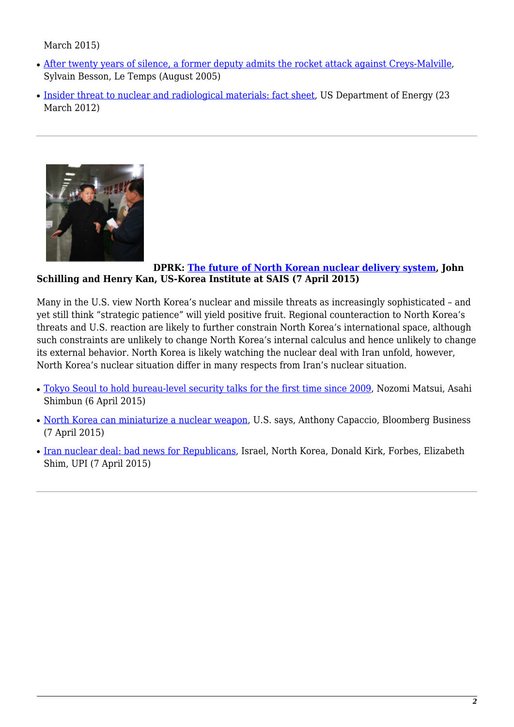March 2015)

- [After twenty years of silence, a former deputy admits the rocket attack against Creys-Malville](http://web.archive.org/web/20051231215724/http://www.sortirdunucleaire.org/mai2003/letemps080503b.htm), Sylvain Besson, Le Temps (August 2005)
- [Insider threat to nuclear and radiological materials: fact sheet,](http://www.nnsa.energy.gov/mediaroom/factsheets/insider-threat) US Department of Energy (23) March 2012)



## **DPRK: [The future of North Korean nuclear delivery system](http://38north.org/2015/04/nukefuture040715/), John Schilling and Henry Kan, US-Korea Institute at SAIS (7 April 2015)**

Many in the U.S. view North Korea's nuclear and missile threats as increasingly sophisticated – and yet still think "strategic patience" will yield positive fruit. Regional counteraction to North Korea's threats and U.S. reaction are likely to further constrain North Korea's international space, although such constraints are unlikely to change North Korea's internal calculus and hence unlikely to change its external behavior. North Korea is likely watching the nuclear deal with Iran unfold, however, North Korea's nuclear situation differ in many respects from Iran's nuclear situation.

- [Tokyo Seoul to hold bureau-level security talks for the first time since 2009](http://ajw.asahi.com/article/behind_news/politics/AJ201504060037 ), Nozomi Matsui, Asahi Shimbun (6 April 2015)
- [North Korea can miniaturize a nuclear weapon,](http://www.bloomberg.com/news/articles/2015-04-07/n-korea-can-mount-miniature-nuclear-weapon-u-s-admiral-says) U.S. says, Anthony Capaccio, Bloomberg Business (7 April 2015)
- [Iran nuclear deal: bad news for Republicans](http://www.forbes.com/sites/donaldkirk/2015/04/03/iran-nuclear-deal-anathema-to-republicans-israel-and-north-korea/), Israel, North Korea, Donald Kirk, Forbes, Elizabeth Shim, UPI (7 April 2015)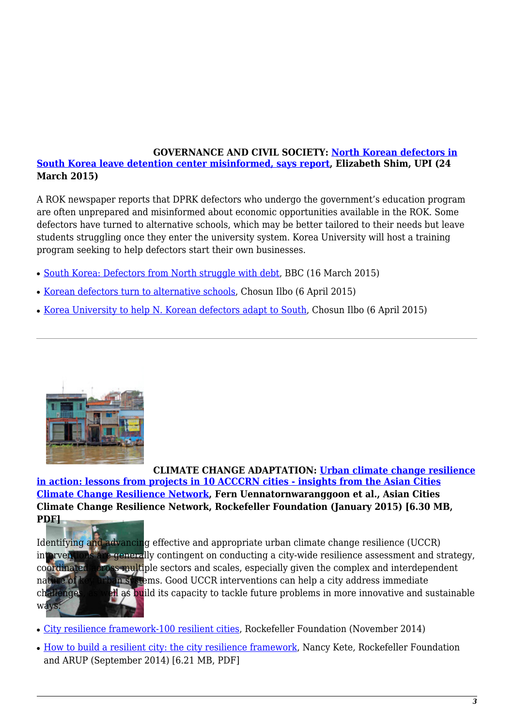## **GOVERNANCE AND CIVIL SOCIETY: [North Korean defectors in](http://www.upi.com/Top_News/World-News/2015/03/24/North-Korean-defectors-in-South-Korea-leave-detention-center-misinformed-says-report/8881427213048/) [South Korea leave detention center misinformed, says report](http://www.upi.com/Top_News/World-News/2015/03/24/North-Korean-defectors-in-South-Korea-leave-detention-center-misinformed-says-report/8881427213048/), Elizabeth Shim, UPI (24 March 2015)**

A ROK newspaper reports that DPRK defectors who undergo the government's education program are often unprepared and misinformed about economic opportunities available in the ROK. Some defectors have turned to alternative schools, which may be better tailored to their needs but leave students struggling once they enter the university system. Korea University will host a training program seeking to help defectors start their own businesses.

- [South Korea: Defectors from North struggle with debt,](http://www.bbc.com/news/blogs-news-from-elsewhere-31904466) BBC (16 March 2015)
- [Korean defectors turn to alternative schools,](http://english.chosun.com/site/data/html_dir/2015/04/06/2015040600552.html) Chosun Ilbo (6 April 2015)
- [Korea University to help N. Korean defectors adapt to South](http://english.chosun.com/site/data/html_dir/2015/04/06/2015040601276.html), Chosun Ilbo (6 April 2015)



**CLIMATE CHANGE ADAPTATION: [Urban climate change resilience](http://acccrn.net/sites/default/files/publication/attach/ACCCRN_ProjectsInsightsPaper.pdf) [in action: lessons from projects in 10 ACCCRN cities - insights from the Asian Cities](http://acccrn.net/sites/default/files/publication/attach/ACCCRN_ProjectsInsightsPaper.pdf) [Climate Change Resilience Network](http://acccrn.net/sites/default/files/publication/attach/ACCCRN_ProjectsInsightsPaper.pdf), Fern Uennatornwaranggoon et al., Asian Cities Climate Change Resilience Network, Rockefeller Foundation (January 2015) [6.30 MB, PDF]**



Id[entifying and advancin](https://nautilus.org/napsnet/napsnet-weekly/nautilus-peace-and-security-network-9-april-2015/attachment/gov-image-29/)g effective and appropriate urban climate change resilience (UCCR) interventions are generally contingent on conducting a city-wide resilience assessment and strategy, coordinated across multiple sectors and scales, especially given the complex and interdependent nature of key urban systems. Good UCCR interventions can help a city address immediate challenges, as well as build its capacity to tackle future problems in more innovative and sustainable

- [City resilience framework-100 resilient cities](http://www.rockefellerfoundation.org/report/city-resilience-framework-2/), Rockefeller Foundation (November 2014)
- [How to build a resilient city: the city resilience framework](http://www.rockefellerfoundation.org/app/uploads/Remarks-Nancy-Kete.pdf), Nancy Kete*,* Rockefeller Foundation and ARUP (September 2014) [6.21 MB, PDF]